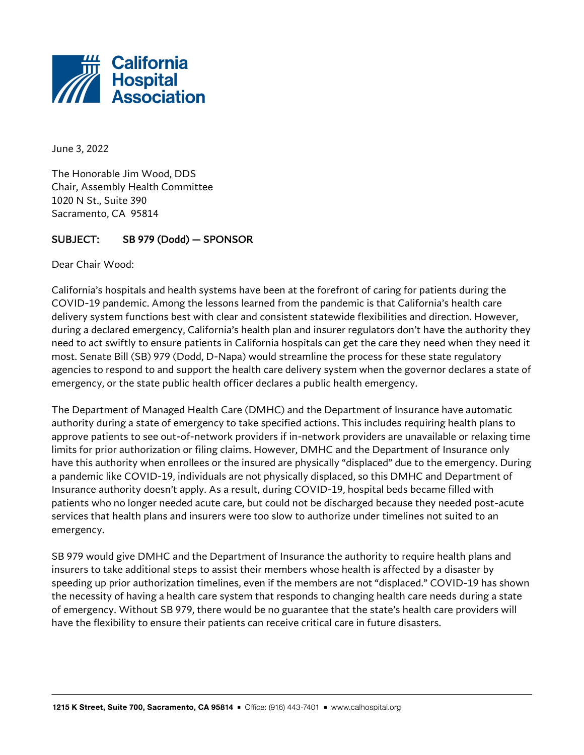

June 3, 2022

The Honorable Jim Wood, DDS Chair, Assembly Health Committee 1020 N St., Suite 390 Sacramento, CA 95814

## SUBJECT: SB 979 (Dodd) — SPONSOR

Dear Chair Wood:

California's hospitals and health systems have been at the forefront of caring for patients during the COVID-19 pandemic. Among the lessons learned from the pandemic is that California's health care delivery system functions best with clear and consistent statewide flexibilities and direction. However, during a declared emergency, California's health plan and insurer regulators don't have the authority they need to act swiftly to ensure patients in California hospitals can get the care they need when they need it most. Senate Bill (SB) 979 (Dodd, D-Napa) would streamline the process for these state regulatory agencies to respond to and support the health care delivery system when the governor declares a state of emergency, or the state public health officer declares a public health emergency.

The Department of Managed Health Care (DMHC) and the Department of Insurance have automatic authority during a state of emergency to take specified actions. This includes requiring health plans to approve patients to see out-of-network providers if in-network providers are unavailable or relaxing time limits for prior authorization or filing claims. However, DMHC and the Department of Insurance only have this authority when enrollees or the insured are physically "displaced" due to the emergency. During a pandemic like COVID-19, individuals are not physically displaced, so this DMHC and Department of Insurance authority doesn't apply. As a result, during COVID-19, hospital beds became filled with patients who no longer needed acute care, but could not be discharged because they needed post-acute services that health plans and insurers were too slow to authorize under timelines not suited to an emergency.

SB 979 would give DMHC and the Department of Insurance the authority to require health plans and insurers to take additional steps to assist their members whose health is affected by a disaster by speeding up prior authorization timelines, even if the members are not "displaced." COVID-19 has shown the necessity of having a health care system that responds to changing health care needs during a state of emergency. Without SB 979, there would be no guarantee that the state's health care providers will have the flexibility to ensure their patients can receive critical care in future disasters.